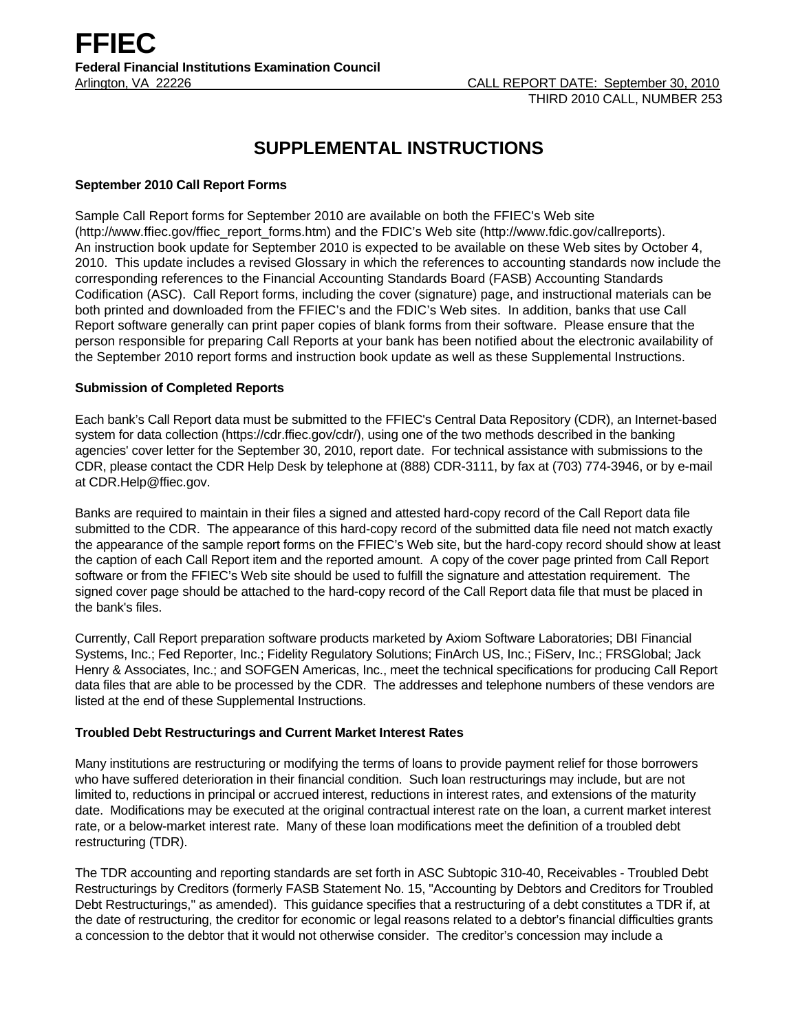# **SUPPLEMENTAL INSTRUCTIONS**

## **September 2010 Call Report Forms**

Sample Call Report forms for September 2010 are available on both the FFIEC's Web site (http://www.ffiec.gov/ffiec\_report\_forms.htm) and the FDIC's Web site (http://www.fdic.gov/callreports). An instruction book update for September 2010 is expected to be available on these Web sites by October 4, 2010. This update includes a revised Glossary in which the references to accounting standards now include the corresponding references to the Financial Accounting Standards Board (FASB) Accounting Standards Codification (ASC). Call Report forms, including the cover (signature) page, and instructional materials can be both printed and downloaded from the FFIEC's and the FDIC's Web sites. In addition, banks that use Call Report software generally can print paper copies of blank forms from their software. Please ensure that the person responsible for preparing Call Reports at your bank has been notified about the electronic availability of the September 2010 report forms and instruction book update as well as these Supplemental Instructions.

## **Submission of Completed Reports**

Each bank's Call Report data must be submitted to the FFIEC's Central Data Repository (CDR), an Internet-based system for data collection (https://cdr.ffiec.gov/cdr/), using one of the two methods described in the banking agencies' cover letter for the September 30, 2010, report date. For technical assistance with submissions to the CDR, please contact the CDR Help Desk by telephone at (888) CDR-3111, by fax at (703) 774-3946, or by e-mail at CDR.Help@ffiec.gov.

Banks are required to maintain in their files a signed and attested hard-copy record of the Call Report data file submitted to the CDR. The appearance of this hard-copy record of the submitted data file need not match exactly the appearance of the sample report forms on the FFIEC's Web site, but the hard-copy record should show at least the caption of each Call Report item and the reported amount. A copy of the cover page printed from Call Report software or from the FFIEC's Web site should be used to fulfill the signature and attestation requirement. The signed cover page should be attached to the hard-copy record of the Call Report data file that must be placed in the bank's files.

Currently, Call Report preparation software products marketed by Axiom Software Laboratories; DBI Financial Systems, Inc.; Fed Reporter, Inc.; Fidelity Regulatory Solutions; FinArch US, Inc.; FiServ, Inc.; FRSGlobal; Jack Henry & Associates, Inc.; and SOFGEN Americas, Inc., meet the technical specifications for producing Call Report data files that are able to be processed by the CDR. The addresses and telephone numbers of these vendors are listed at the end of these Supplemental Instructions.

### **Troubled Debt Restructurings and Current Market Interest Rates**

Many institutions are restructuring or modifying the terms of loans to provide payment relief for those borrowers who have suffered deterioration in their financial condition. Such loan restructurings may include, but are not limited to, reductions in principal or accrued interest, reductions in interest rates, and extensions of the maturity date. Modifications may be executed at the original contractual interest rate on the loan, a current market interest rate, or a below-market interest rate. Many of these loan modifications meet the definition of a troubled debt restructuring (TDR).

The TDR accounting and reporting standards are set forth in ASC Subtopic 310-40, Receivables - Troubled Debt Restructurings by Creditors (formerly FASB Statement No. 15, "Accounting by Debtors and Creditors for Troubled Debt Restructurings," as amended). This guidance specifies that a restructuring of a debt constitutes a TDR if, at the date of restructuring, the creditor for economic or legal reasons related to a debtor's financial difficulties grants a concession to the debtor that it would not otherwise consider. The creditor's concession may include a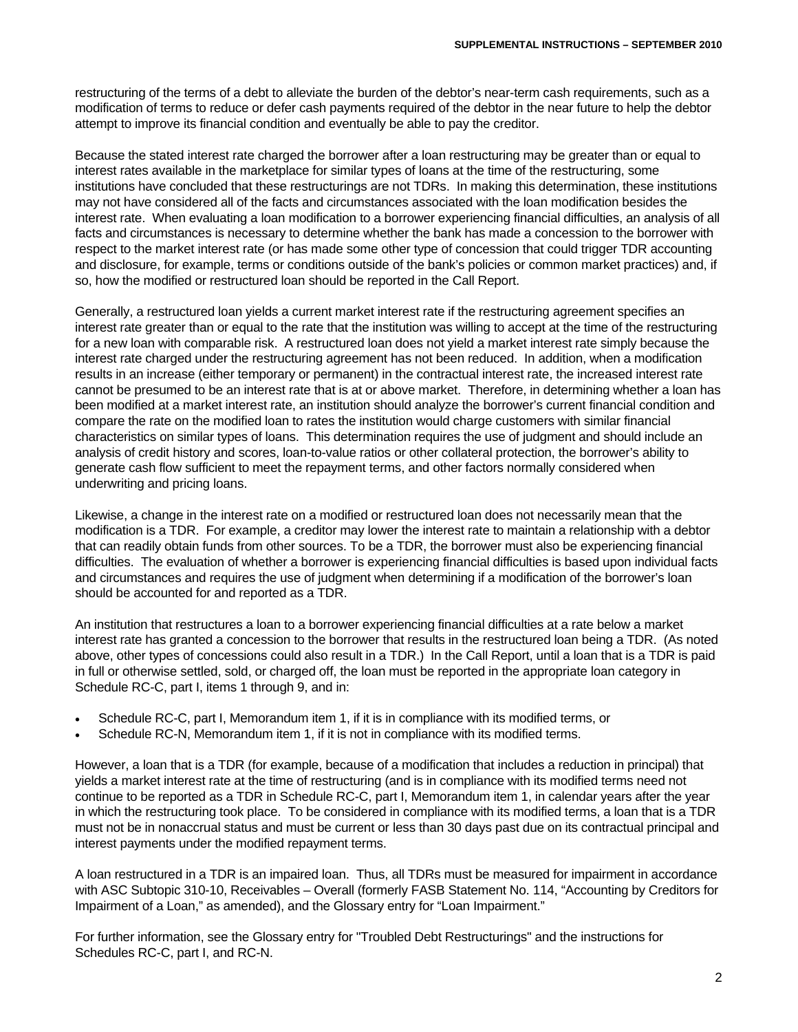restructuring of the terms of a debt to alleviate the burden of the debtor's near-term cash requirements, such as a modification of terms to reduce or defer cash payments required of the debtor in the near future to help the debtor attempt to improve its financial condition and eventually be able to pay the creditor.

Because the stated interest rate charged the borrower after a loan restructuring may be greater than or equal to interest rates available in the marketplace for similar types of loans at the time of the restructuring, some institutions have concluded that these restructurings are not TDRs. In making this determination, these institutions may not have considered all of the facts and circumstances associated with the loan modification besides the interest rate. When evaluating a loan modification to a borrower experiencing financial difficulties, an analysis of all facts and circumstances is necessary to determine whether the bank has made a concession to the borrower with respect to the market interest rate (or has made some other type of concession that could trigger TDR accounting and disclosure, for example, terms or conditions outside of the bank's policies or common market practices) and, if so, how the modified or restructured loan should be reported in the Call Report.

Generally, a restructured loan yields a current market interest rate if the restructuring agreement specifies an interest rate greater than or equal to the rate that the institution was willing to accept at the time of the restructuring for a new loan with comparable risk. A restructured loan does not yield a market interest rate simply because the interest rate charged under the restructuring agreement has not been reduced. In addition, when a modification results in an increase (either temporary or permanent) in the contractual interest rate, the increased interest rate cannot be presumed to be an interest rate that is at or above market. Therefore, in determining whether a loan has been modified at a market interest rate, an institution should analyze the borrower's current financial condition and compare the rate on the modified loan to rates the institution would charge customers with similar financial characteristics on similar types of loans. This determination requires the use of judgment and should include an analysis of credit history and scores, loan-to-value ratios or other collateral protection, the borrower's ability to generate cash flow sufficient to meet the repayment terms, and other factors normally considered when underwriting and pricing loans.

Likewise, a change in the interest rate on a modified or restructured loan does not necessarily mean that the modification is a TDR. For example, a creditor may lower the interest rate to maintain a relationship with a debtor that can readily obtain funds from other sources. To be a TDR, the borrower must also be experiencing financial difficulties. The evaluation of whether a borrower is experiencing financial difficulties is based upon individual facts and circumstances and requires the use of judgment when determining if a modification of the borrower's loan should be accounted for and reported as a TDR.

An institution that restructures a loan to a borrower experiencing financial difficulties at a rate below a market interest rate has granted a concession to the borrower that results in the restructured loan being a TDR. (As noted above, other types of concessions could also result in a TDR.) In the Call Report, until a loan that is a TDR is paid in full or otherwise settled, sold, or charged off, the loan must be reported in the appropriate loan category in Schedule RC-C, part I, items 1 through 9, and in:

- Schedule RC-C, part I, Memorandum item 1, if it is in compliance with its modified terms, or
- Schedule RC-N, Memorandum item 1, if it is not in compliance with its modified terms.

However, a loan that is a TDR (for example, because of a modification that includes a reduction in principal) that yields a market interest rate at the time of restructuring (and is in compliance with its modified terms need not continue to be reported as a TDR in Schedule RC-C, part I, Memorandum item 1, in calendar years after the year in which the restructuring took place. To be considered in compliance with its modified terms, a loan that is a TDR must not be in nonaccrual status and must be current or less than 30 days past due on its contractual principal and interest payments under the modified repayment terms.

A loan restructured in a TDR is an impaired loan. Thus, all TDRs must be measured for impairment in accordance with ASC Subtopic 310-10, Receivables – Overall (formerly FASB Statement No. 114, "Accounting by Creditors for Impairment of a Loan," as amended), and the Glossary entry for "Loan Impairment."

For further information, see the Glossary entry for "Troubled Debt Restructurings" and the instructions for Schedules RC-C, part I, and RC-N.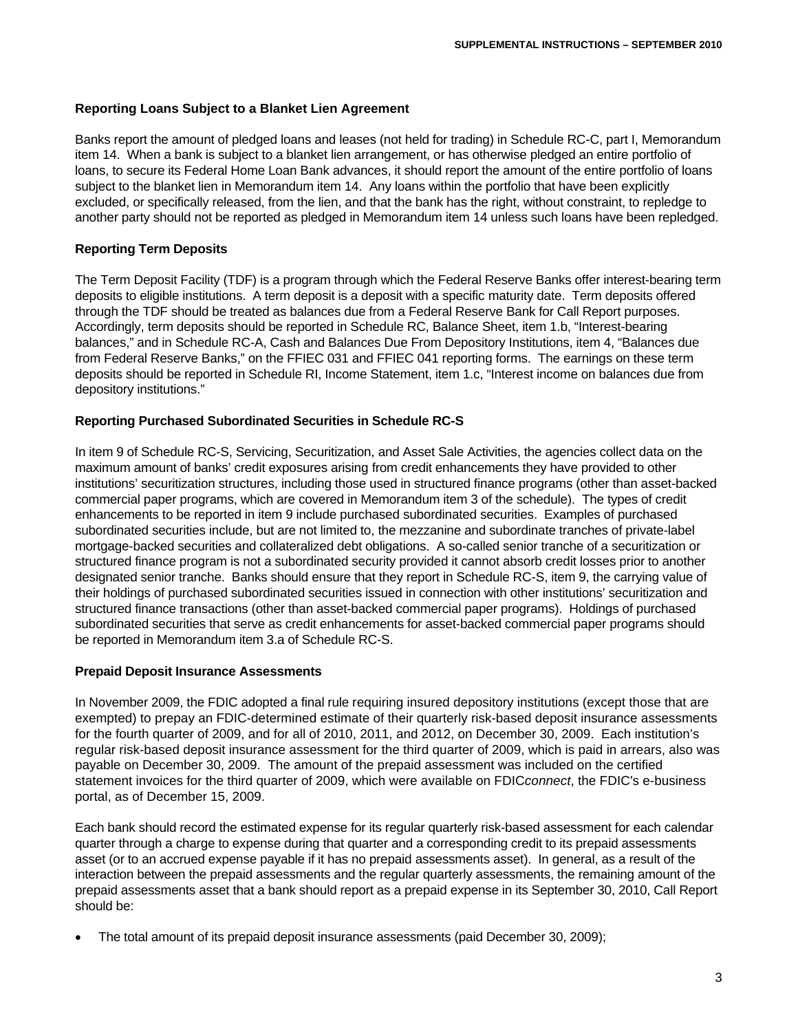## **Reporting Loans Subject to a Blanket Lien Agreement**

Banks report the amount of pledged loans and leases (not held for trading) in Schedule RC-C, part I, Memorandum item 14. When a bank is subject to a blanket lien arrangement, or has otherwise pledged an entire portfolio of loans, to secure its Federal Home Loan Bank advances, it should report the amount of the entire portfolio of loans subject to the blanket lien in Memorandum item 14. Any loans within the portfolio that have been explicitly excluded, or specifically released, from the lien, and that the bank has the right, without constraint, to repledge to another party should not be reported as pledged in Memorandum item 14 unless such loans have been repledged.

## **Reporting Term Deposits**

The Term Deposit Facility (TDF) is a program through which the Federal Reserve Banks offer interest-bearing term deposits to eligible institutions. A term deposit is a deposit with a specific maturity date. Term deposits offered through the TDF should be treated as balances due from a Federal Reserve Bank for Call Report purposes. Accordingly, term deposits should be reported in Schedule RC, Balance Sheet, item 1.b, "Interest-bearing balances," and in Schedule RC-A, Cash and Balances Due From Depository Institutions, item 4, "Balances due from Federal Reserve Banks," on the FFIEC 031 and FFIEC 041 reporting forms. The earnings on these term deposits should be reported in Schedule RI, Income Statement, item 1.c, "Interest income on balances due from depository institutions."

### **Reporting Purchased Subordinated Securities in Schedule RC-S**

In item 9 of Schedule RC-S, Servicing, Securitization, and Asset Sale Activities, the agencies collect data on the maximum amount of banks' credit exposures arising from credit enhancements they have provided to other institutions' securitization structures, including those used in structured finance programs (other than asset-backed commercial paper programs, which are covered in Memorandum item 3 of the schedule). The types of credit enhancements to be reported in item 9 include purchased subordinated securities. Examples of purchased subordinated securities include, but are not limited to, the mezzanine and subordinate tranches of private-label mortgage-backed securities and collateralized debt obligations. A so-called senior tranche of a securitization or structured finance program is not a subordinated security provided it cannot absorb credit losses prior to another designated senior tranche. Banks should ensure that they report in Schedule RC-S, item 9, the carrying value of their holdings of purchased subordinated securities issued in connection with other institutions' securitization and structured finance transactions (other than asset-backed commercial paper programs). Holdings of purchased subordinated securities that serve as credit enhancements for asset-backed commercial paper programs should be reported in Memorandum item 3.a of Schedule RC-S.

### **Prepaid Deposit Insurance Assessments**

In November 2009, the FDIC adopted a final rule requiring insured depository institutions (except those that are exempted) to prepay an FDIC-determined estimate of their quarterly risk-based deposit insurance assessments for the fourth quarter of 2009, and for all of 2010, 2011, and 2012, on December 30, 2009. Each institution's regular risk-based deposit insurance assessment for the third quarter of 2009, which is paid in arrears, also was payable on December 30, 2009. The amount of the prepaid assessment was included on the certified statement invoices for the third quarter of 2009, which were available on FDIC*connect*, the FDIC's e-business portal, as of December 15, 2009.

Each bank should record the estimated expense for its regular quarterly risk-based assessment for each calendar quarter through a charge to expense during that quarter and a corresponding credit to its prepaid assessments asset (or to an accrued expense payable if it has no prepaid assessments asset). In general, as a result of the interaction between the prepaid assessments and the regular quarterly assessments, the remaining amount of the prepaid assessments asset that a bank should report as a prepaid expense in its September 30, 2010, Call Report should be:

The total amount of its prepaid deposit insurance assessments (paid December 30, 2009);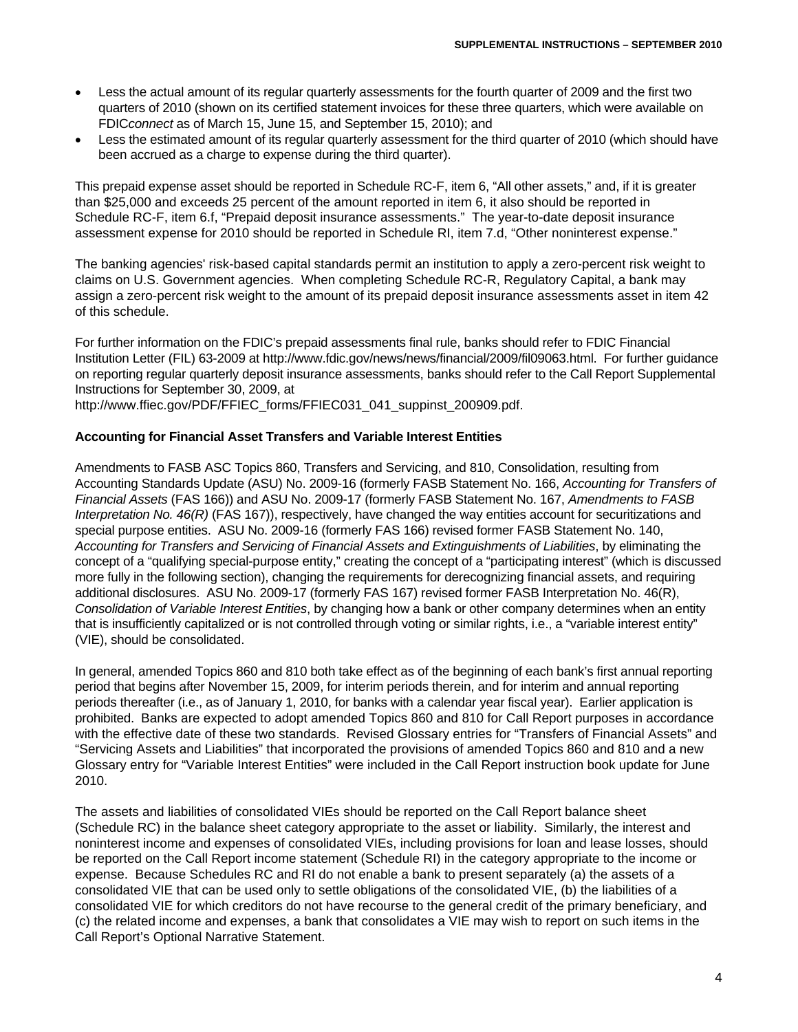- Less the actual amount of its regular quarterly assessments for the fourth quarter of 2009 and the first two quarters of 2010 (shown on its certified statement invoices for these three quarters, which were available on FDIC*connect* as of March 15, June 15, and September 15, 2010); and
- Less the estimated amount of its regular quarterly assessment for the third quarter of 2010 (which should have been accrued as a charge to expense during the third quarter).

This prepaid expense asset should be reported in Schedule RC-F, item 6, "All other assets," and, if it is greater than \$25,000 and exceeds 25 percent of the amount reported in item 6, it also should be reported in Schedule RC-F, item 6.f, "Prepaid deposit insurance assessments." The year-to-date deposit insurance assessment expense for 2010 should be reported in Schedule RI, item 7.d, "Other noninterest expense."

The banking agencies' risk-based capital standards permit an institution to apply a zero-percent risk weight to claims on U.S. Government agencies. When completing Schedule RC-R, Regulatory Capital, a bank may assign a zero-percent risk weight to the amount of its prepaid deposit insurance assessments asset in item 42 of this schedule.

For further information on the FDIC's prepaid assessments final rule, banks should refer to FDIC Financial Institution Letter (FIL) 63-2009 at http://www.fdic.gov/news/news/financial/2009/fil09063.html. For further guidance on reporting regular quarterly deposit insurance assessments, banks should refer to the Call Report Supplemental Instructions for September 30, 2009, at

http://www.ffiec.gov/PDF/FFIEC\_forms/FFIEC031\_041\_suppinst\_200909.pdf.

#### **Accounting for Financial Asset Transfers and Variable Interest Entities**

Amendments to FASB ASC Topics 860, Transfers and Servicing, and 810, Consolidation, resulting from Accounting Standards Update (ASU) No. 2009-16 (formerly FASB Statement No. 166, *Accounting for Transfers of Financial Assets* (FAS 166)) and ASU No. 2009-17 (formerly FASB Statement No. 167, *Amendments to FASB Interpretation No. 46(R)* (FAS 167)), respectively, have changed the way entities account for securitizations and special purpose entities. ASU No. 2009-16 (formerly FAS 166) revised former FASB Statement No. 140, *Accounting for Transfers and Servicing of Financial Assets and Extinguishments of Liabilities*, by eliminating the concept of a "qualifying special-purpose entity," creating the concept of a "participating interest" (which is discussed more fully in the following section), changing the requirements for derecognizing financial assets, and requiring additional disclosures. ASU No. 2009-17 (formerly FAS 167) revised former FASB Interpretation No. 46(R), *Consolidation of Variable Interest Entities*, by changing how a bank or other company determines when an entity that is insufficiently capitalized or is not controlled through voting or similar rights, i.e., a "variable interest entity" (VIE), should be consolidated.

In general, amended Topics 860 and 810 both take effect as of the beginning of each bank's first annual reporting period that begins after November 15, 2009, for interim periods therein, and for interim and annual reporting periods thereafter (i.e., as of January 1, 2010, for banks with a calendar year fiscal year). Earlier application is prohibited. Banks are expected to adopt amended Topics 860 and 810 for Call Report purposes in accordance with the effective date of these two standards. Revised Glossary entries for "Transfers of Financial Assets" and "Servicing Assets and Liabilities" that incorporated the provisions of amended Topics 860 and 810 and a new Glossary entry for "Variable Interest Entities" were included in the Call Report instruction book update for June 2010.

The assets and liabilities of consolidated VIEs should be reported on the Call Report balance sheet (Schedule RC) in the balance sheet category appropriate to the asset or liability. Similarly, the interest and noninterest income and expenses of consolidated VIEs, including provisions for loan and lease losses, should be reported on the Call Report income statement (Schedule RI) in the category appropriate to the income or expense. Because Schedules RC and RI do not enable a bank to present separately (a) the assets of a consolidated VIE that can be used only to settle obligations of the consolidated VIE, (b) the liabilities of a consolidated VIE for which creditors do not have recourse to the general credit of the primary beneficiary, and (c) the related income and expenses, a bank that consolidates a VIE may wish to report on such items in the Call Report's Optional Narrative Statement.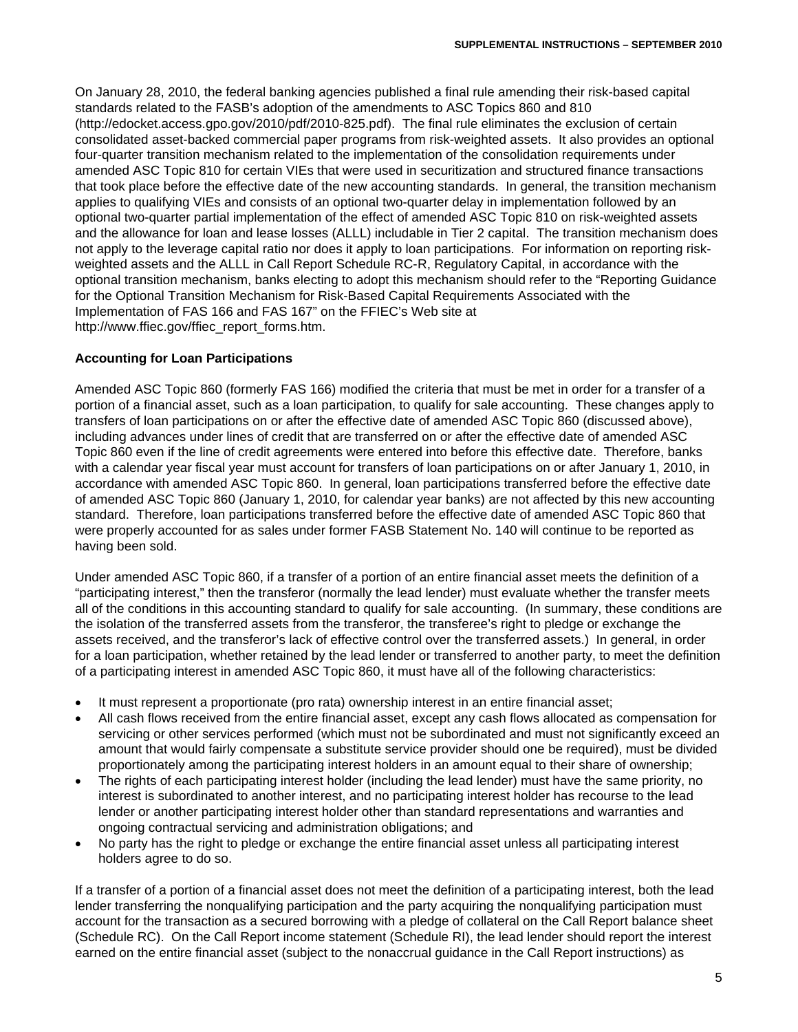On January 28, 2010, the federal banking agencies published a final rule amending their risk-based capital standards related to the FASB's adoption of the amendments to ASC Topics 860 and 810 (http://edocket.access.gpo.gov/2010/pdf/2010-825.pdf). The final rule eliminates the exclusion of certain consolidated asset-backed commercial paper programs from risk-weighted assets. It also provides an optional four-quarter transition mechanism related to the implementation of the consolidation requirements under amended ASC Topic 810 for certain VIEs that were used in securitization and structured finance transactions that took place before the effective date of the new accounting standards. In general, the transition mechanism applies to qualifying VIEs and consists of an optional two-quarter delay in implementation followed by an optional two-quarter partial implementation of the effect of amended ASC Topic 810 on risk-weighted assets and the allowance for loan and lease losses (ALLL) includable in Tier 2 capital. The transition mechanism does not apply to the leverage capital ratio nor does it apply to loan participations. For information on reporting riskweighted assets and the ALLL in Call Report Schedule RC-R, Regulatory Capital, in accordance with the optional transition mechanism, banks electing to adopt this mechanism should refer to the "Reporting Guidance for the Optional Transition Mechanism for Risk-Based Capital Requirements Associated with the Implementation of FAS 166 and FAS 167" on the FFIEC's Web site at http://www.ffiec.gov/ffiec\_report\_forms.htm.

### **Accounting for Loan Participations**

Amended ASC Topic 860 (formerly FAS 166) modified the criteria that must be met in order for a transfer of a portion of a financial asset, such as a loan participation, to qualify for sale accounting. These changes apply to transfers of loan participations on or after the effective date of amended ASC Topic 860 (discussed above), including advances under lines of credit that are transferred on or after the effective date of amended ASC Topic 860 even if the line of credit agreements were entered into before this effective date. Therefore, banks with a calendar year fiscal year must account for transfers of loan participations on or after January 1, 2010, in accordance with amended ASC Topic 860. In general, loan participations transferred before the effective date of amended ASC Topic 860 (January 1, 2010, for calendar year banks) are not affected by this new accounting standard. Therefore, loan participations transferred before the effective date of amended ASC Topic 860 that were properly accounted for as sales under former FASB Statement No. 140 will continue to be reported as having been sold.

Under amended ASC Topic 860, if a transfer of a portion of an entire financial asset meets the definition of a "participating interest," then the transferor (normally the lead lender) must evaluate whether the transfer meets all of the conditions in this accounting standard to qualify for sale accounting. (In summary, these conditions are the isolation of the transferred assets from the transferor, the transferee's right to pledge or exchange the assets received, and the transferor's lack of effective control over the transferred assets.) In general, in order for a loan participation, whether retained by the lead lender or transferred to another party, to meet the definition of a participating interest in amended ASC Topic 860, it must have all of the following characteristics:

- It must represent a proportionate (pro rata) ownership interest in an entire financial asset;
- All cash flows received from the entire financial asset, except any cash flows allocated as compensation for servicing or other services performed (which must not be subordinated and must not significantly exceed an amount that would fairly compensate a substitute service provider should one be required), must be divided proportionately among the participating interest holders in an amount equal to their share of ownership;
- The rights of each participating interest holder (including the lead lender) must have the same priority, no interest is subordinated to another interest, and no participating interest holder has recourse to the lead lender or another participating interest holder other than standard representations and warranties and ongoing contractual servicing and administration obligations; and
- No party has the right to pledge or exchange the entire financial asset unless all participating interest holders agree to do so.

If a transfer of a portion of a financial asset does not meet the definition of a participating interest, both the lead lender transferring the nonqualifying participation and the party acquiring the nonqualifying participation must account for the transaction as a secured borrowing with a pledge of collateral on the Call Report balance sheet (Schedule RC). On the Call Report income statement (Schedule RI), the lead lender should report the interest earned on the entire financial asset (subject to the nonaccrual guidance in the Call Report instructions) as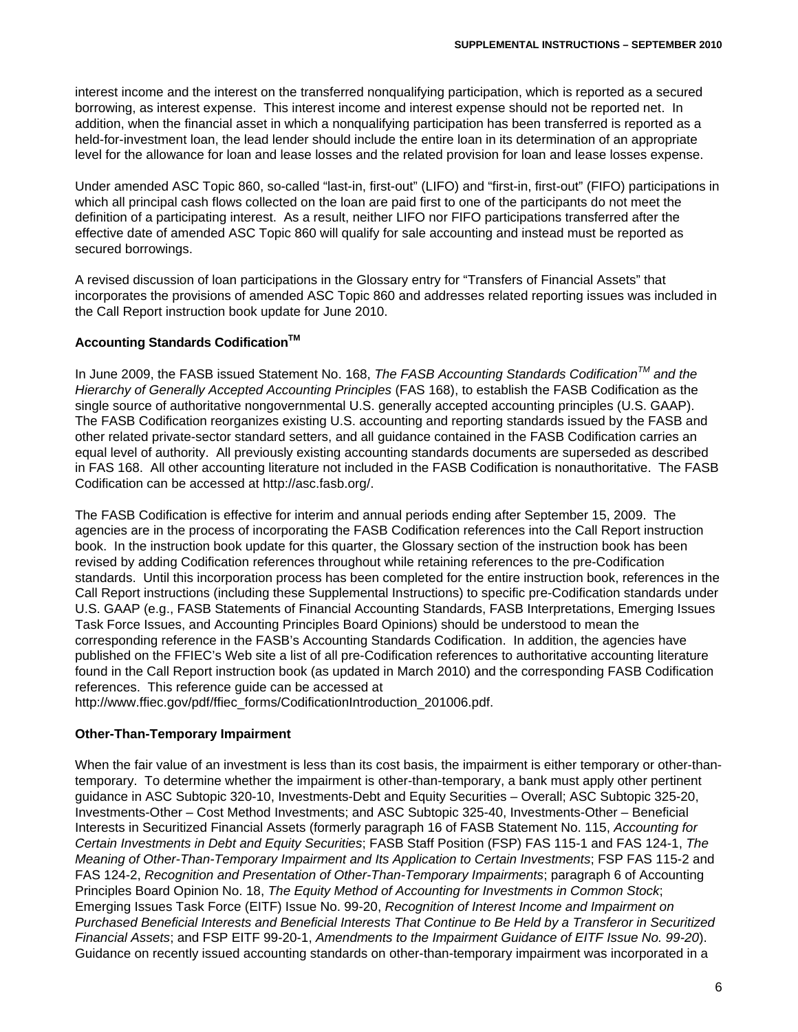interest income and the interest on the transferred nonqualifying participation, which is reported as a secured borrowing, as interest expense. This interest income and interest expense should not be reported net. In addition, when the financial asset in which a nonqualifying participation has been transferred is reported as a held-for-investment loan, the lead lender should include the entire loan in its determination of an appropriate level for the allowance for loan and lease losses and the related provision for loan and lease losses expense.

Under amended ASC Topic 860, so-called "last-in, first-out" (LIFO) and "first-in, first-out" (FIFO) participations in which all principal cash flows collected on the loan are paid first to one of the participants do not meet the definition of a participating interest. As a result, neither LIFO nor FIFO participations transferred after the effective date of amended ASC Topic 860 will qualify for sale accounting and instead must be reported as secured borrowings.

A revised discussion of loan participations in the Glossary entry for "Transfers of Financial Assets" that incorporates the provisions of amended ASC Topic 860 and addresses related reporting issues was included in the Call Report instruction book update for June 2010.

## **Accounting Standards Codification<sup>™</sup>**

In June 2009, the FASB issued Statement No. 168, *The FASB Accounting Standards CodificationTM and the Hierarchy of Generally Accepted Accounting Principles* (FAS 168), to establish the FASB Codification as the single source of authoritative nongovernmental U.S. generally accepted accounting principles (U.S. GAAP). The FASB Codification reorganizes existing U.S. accounting and reporting standards issued by the FASB and other related private-sector standard setters, and all guidance contained in the FASB Codification carries an equal level of authority. All previously existing accounting standards documents are superseded as described in FAS 168. All other accounting literature not included in the FASB Codification is nonauthoritative. The FASB Codification can be accessed at http://asc.fasb.org/.

The FASB Codification is effective for interim and annual periods ending after September 15, 2009. The agencies are in the process of incorporating the FASB Codification references into the Call Report instruction book. In the instruction book update for this quarter, the Glossary section of the instruction book has been revised by adding Codification references throughout while retaining references to the pre-Codification standards. Until this incorporation process has been completed for the entire instruction book, references in the Call Report instructions (including these Supplemental Instructions) to specific pre-Codification standards under U.S. GAAP (e.g., FASB Statements of Financial Accounting Standards, FASB Interpretations, Emerging Issues Task Force Issues, and Accounting Principles Board Opinions) should be understood to mean the corresponding reference in the FASB's Accounting Standards Codification. In addition, the agencies have published on the FFIEC's Web site a list of all pre-Codification references to authoritative accounting literature found in the Call Report instruction book (as updated in March 2010) and the corresponding FASB Codification references. This reference guide can be accessed at

http://www.ffiec.gov/pdf/ffiec\_forms/CodificationIntroduction\_201006.pdf.

### **Other-Than-Temporary Impairment**

When the fair value of an investment is less than its cost basis, the impairment is either temporary or other-thantemporary. To determine whether the impairment is other-than-temporary, a bank must apply other pertinent guidance in ASC Subtopic 320-10, Investments-Debt and Equity Securities – Overall; ASC Subtopic 325-20, Investments-Other – Cost Method Investments; and ASC Subtopic 325-40, Investments-Other – Beneficial Interests in Securitized Financial Assets (formerly paragraph 16 of FASB Statement No. 115, *Accounting for Certain Investments in Debt and Equity Securities*; FASB Staff Position (FSP) FAS 115-1 and FAS 124-1, *The Meaning of Other-Than-Temporary Impairment and Its Application to Certain Investments*; FSP FAS 115-2 and FAS 124-2, *Recognition and Presentation of Other-Than-Temporary Impairments*; paragraph 6 of Accounting Principles Board Opinion No. 18, *The Equity Method of Accounting for Investments in Common Stock*; Emerging Issues Task Force (EITF) Issue No. 99-20, *Recognition of Interest Income and Impairment on Purchased Beneficial Interests and Beneficial Interests That Continue to Be Held by a Transferor in Securitized Financial Assets*; and FSP EITF 99-20-1, *Amendments to the Impairment Guidance of EITF Issue No. 99-20*). Guidance on recently issued accounting standards on other-than-temporary impairment was incorporated in a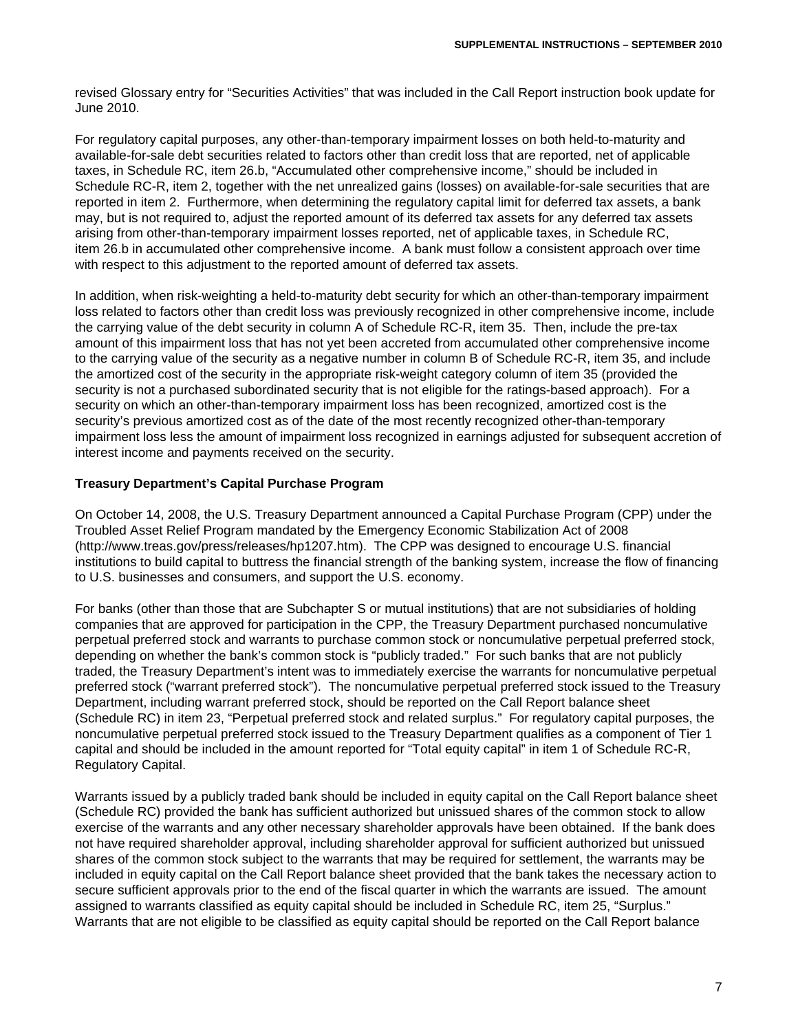revised Glossary entry for "Securities Activities" that was included in the Call Report instruction book update for June 2010.

For regulatory capital purposes, any other-than-temporary impairment losses on both held-to-maturity and available-for-sale debt securities related to factors other than credit loss that are reported, net of applicable taxes, in Schedule RC, item 26.b, "Accumulated other comprehensive income," should be included in Schedule RC-R, item 2, together with the net unrealized gains (losses) on available-for-sale securities that are reported in item 2. Furthermore, when determining the regulatory capital limit for deferred tax assets, a bank may, but is not required to, adjust the reported amount of its deferred tax assets for any deferred tax assets arising from other-than-temporary impairment losses reported, net of applicable taxes, in Schedule RC, item 26.b in accumulated other comprehensive income. A bank must follow a consistent approach over time with respect to this adjustment to the reported amount of deferred tax assets.

In addition, when risk-weighting a held-to-maturity debt security for which an other-than-temporary impairment loss related to factors other than credit loss was previously recognized in other comprehensive income, include the carrying value of the debt security in column A of Schedule RC-R, item 35. Then, include the pre-tax amount of this impairment loss that has not yet been accreted from accumulated other comprehensive income to the carrying value of the security as a negative number in column B of Schedule RC-R, item 35, and include the amortized cost of the security in the appropriate risk-weight category column of item 35 (provided the security is not a purchased subordinated security that is not eligible for the ratings-based approach). For a security on which an other-than-temporary impairment loss has been recognized, amortized cost is the security's previous amortized cost as of the date of the most recently recognized other-than-temporary impairment loss less the amount of impairment loss recognized in earnings adjusted for subsequent accretion of interest income and payments received on the security.

### **Treasury Department's Capital Purchase Program**

On October 14, 2008, the U.S. Treasury Department announced a Capital Purchase Program (CPP) under the Troubled Asset Relief Program mandated by the Emergency Economic Stabilization Act of 2008 (http://www.treas.gov/press/releases/hp1207.htm). The CPP was designed to encourage U.S. financial institutions to build capital to buttress the financial strength of the banking system, increase the flow of financing to U.S. businesses and consumers, and support the U.S. economy.

For banks (other than those that are Subchapter S or mutual institutions) that are not subsidiaries of holding companies that are approved for participation in the CPP, the Treasury Department purchased noncumulative perpetual preferred stock and warrants to purchase common stock or noncumulative perpetual preferred stock, depending on whether the bank's common stock is "publicly traded." For such banks that are not publicly traded, the Treasury Department's intent was to immediately exercise the warrants for noncumulative perpetual preferred stock ("warrant preferred stock"). The noncumulative perpetual preferred stock issued to the Treasury Department, including warrant preferred stock, should be reported on the Call Report balance sheet (Schedule RC) in item 23, "Perpetual preferred stock and related surplus." For regulatory capital purposes, the noncumulative perpetual preferred stock issued to the Treasury Department qualifies as a component of Tier 1 capital and should be included in the amount reported for "Total equity capital" in item 1 of Schedule RC-R, Regulatory Capital.

Warrants issued by a publicly traded bank should be included in equity capital on the Call Report balance sheet (Schedule RC) provided the bank has sufficient authorized but unissued shares of the common stock to allow exercise of the warrants and any other necessary shareholder approvals have been obtained. If the bank does not have required shareholder approval, including shareholder approval for sufficient authorized but unissued shares of the common stock subject to the warrants that may be required for settlement, the warrants may be included in equity capital on the Call Report balance sheet provided that the bank takes the necessary action to secure sufficient approvals prior to the end of the fiscal quarter in which the warrants are issued. The amount assigned to warrants classified as equity capital should be included in Schedule RC, item 25, "Surplus." Warrants that are not eligible to be classified as equity capital should be reported on the Call Report balance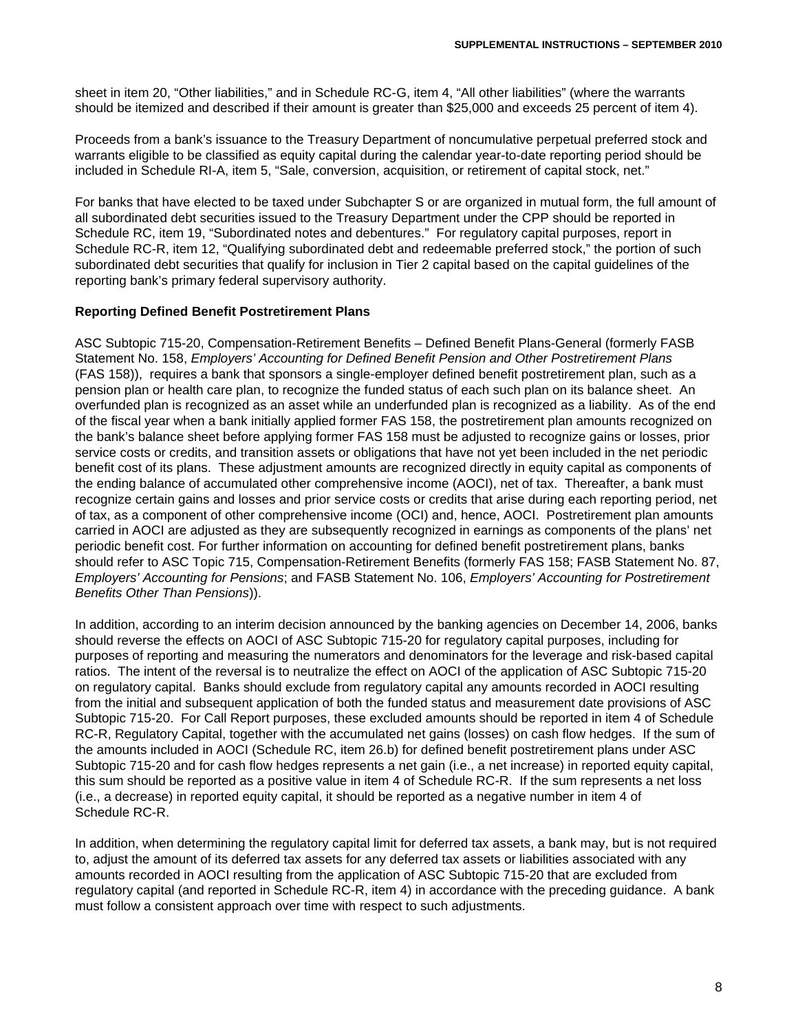sheet in item 20, "Other liabilities," and in Schedule RC-G, item 4, "All other liabilities" (where the warrants should be itemized and described if their amount is greater than \$25,000 and exceeds 25 percent of item 4).

Proceeds from a bank's issuance to the Treasury Department of noncumulative perpetual preferred stock and warrants eligible to be classified as equity capital during the calendar year-to-date reporting period should be included in Schedule RI-A, item 5, "Sale, conversion, acquisition, or retirement of capital stock, net."

For banks that have elected to be taxed under Subchapter S or are organized in mutual form, the full amount of all subordinated debt securities issued to the Treasury Department under the CPP should be reported in Schedule RC, item 19, "Subordinated notes and debentures." For regulatory capital purposes, report in Schedule RC-R, item 12, "Qualifying subordinated debt and redeemable preferred stock," the portion of such subordinated debt securities that qualify for inclusion in Tier 2 capital based on the capital guidelines of the reporting bank's primary federal supervisory authority.

### **Reporting Defined Benefit Postretirement Plans**

ASC Subtopic 715-20, Compensation-Retirement Benefits – Defined Benefit Plans-General (formerly FASB Statement No. 158, *Employers' Accounting for Defined Benefit Pension and Other Postretirement Plans* (FAS 158)), requires a bank that sponsors a single-employer defined benefit postretirement plan, such as a pension plan or health care plan, to recognize the funded status of each such plan on its balance sheet. An overfunded plan is recognized as an asset while an underfunded plan is recognized as a liability. As of the end of the fiscal year when a bank initially applied former FAS 158, the postretirement plan amounts recognized on the bank's balance sheet before applying former FAS 158 must be adjusted to recognize gains or losses, prior service costs or credits, and transition assets or obligations that have not yet been included in the net periodic benefit cost of its plans. These adjustment amounts are recognized directly in equity capital as components of the ending balance of accumulated other comprehensive income (AOCI), net of tax. Thereafter, a bank must recognize certain gains and losses and prior service costs or credits that arise during each reporting period, net of tax, as a component of other comprehensive income (OCI) and, hence, AOCI. Postretirement plan amounts carried in AOCI are adjusted as they are subsequently recognized in earnings as components of the plans' net periodic benefit cost. For further information on accounting for defined benefit postretirement plans, banks should refer to ASC Topic 715, Compensation-Retirement Benefits (formerly FAS 158; FASB Statement No. 87, *Employers' Accounting for Pensions*; and FASB Statement No. 106, *Employers' Accounting for Postretirement Benefits Other Than Pensions*)).

In addition, according to an interim decision announced by the banking agencies on December 14, 2006, banks should reverse the effects on AOCI of ASC Subtopic 715-20 for regulatory capital purposes, including for purposes of reporting and measuring the numerators and denominators for the leverage and risk-based capital ratios. The intent of the reversal is to neutralize the effect on AOCI of the application of ASC Subtopic 715-20 on regulatory capital. Banks should exclude from regulatory capital any amounts recorded in AOCI resulting from the initial and subsequent application of both the funded status and measurement date provisions of ASC Subtopic 715-20. For Call Report purposes, these excluded amounts should be reported in item 4 of Schedule RC-R, Regulatory Capital, together with the accumulated net gains (losses) on cash flow hedges. If the sum of the amounts included in AOCI (Schedule RC, item 26.b) for defined benefit postretirement plans under ASC Subtopic 715-20 and for cash flow hedges represents a net gain (i.e., a net increase) in reported equity capital, this sum should be reported as a positive value in item 4 of Schedule RC-R. If the sum represents a net loss (i.e., a decrease) in reported equity capital, it should be reported as a negative number in item 4 of Schedule RC-R.

In addition, when determining the regulatory capital limit for deferred tax assets, a bank may, but is not required to, adjust the amount of its deferred tax assets for any deferred tax assets or liabilities associated with any amounts recorded in AOCI resulting from the application of ASC Subtopic 715-20 that are excluded from regulatory capital (and reported in Schedule RC-R, item 4) in accordance with the preceding guidance. A bank must follow a consistent approach over time with respect to such adjustments.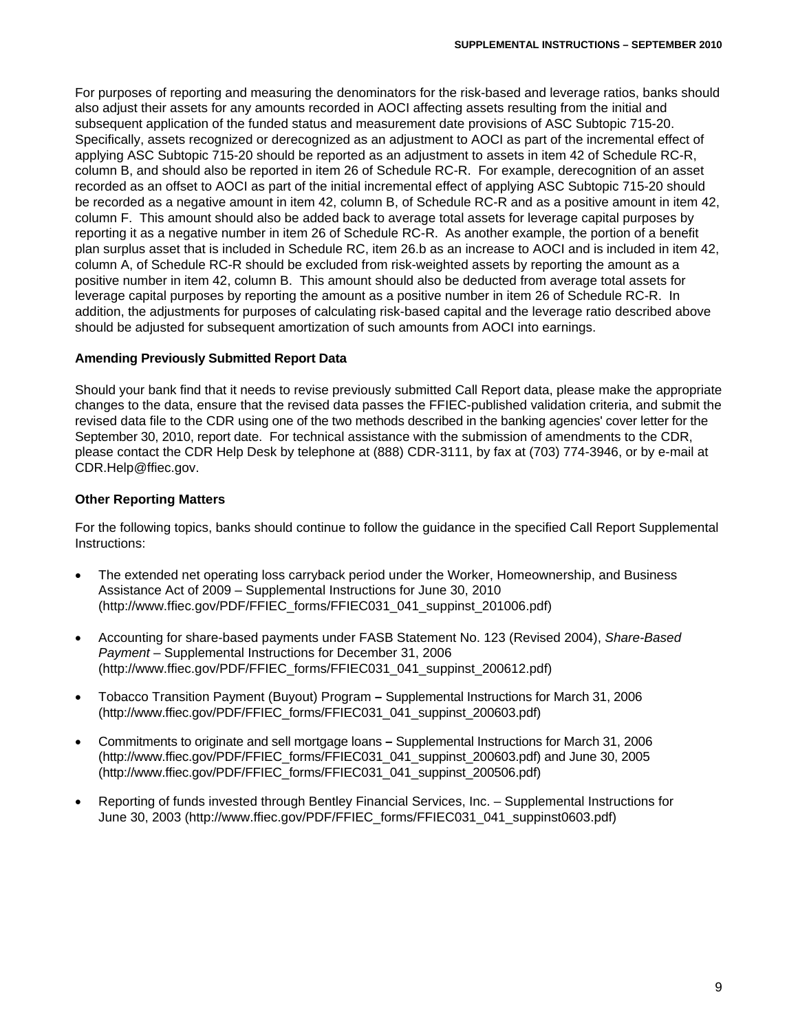For purposes of reporting and measuring the denominators for the risk-based and leverage ratios, banks should also adjust their assets for any amounts recorded in AOCI affecting assets resulting from the initial and subsequent application of the funded status and measurement date provisions of ASC Subtopic 715-20. Specifically, assets recognized or derecognized as an adjustment to AOCI as part of the incremental effect of applying ASC Subtopic 715-20 should be reported as an adjustment to assets in item 42 of Schedule RC-R, column B, and should also be reported in item 26 of Schedule RC-R. For example, derecognition of an asset recorded as an offset to AOCI as part of the initial incremental effect of applying ASC Subtopic 715-20 should be recorded as a negative amount in item 42, column B, of Schedule RC-R and as a positive amount in item 42, column F. This amount should also be added back to average total assets for leverage capital purposes by reporting it as a negative number in item 26 of Schedule RC-R. As another example, the portion of a benefit plan surplus asset that is included in Schedule RC, item 26.b as an increase to AOCI and is included in item 42, column A, of Schedule RC-R should be excluded from risk-weighted assets by reporting the amount as a positive number in item 42, column B. This amount should also be deducted from average total assets for leverage capital purposes by reporting the amount as a positive number in item 26 of Schedule RC-R. In addition, the adjustments for purposes of calculating risk-based capital and the leverage ratio described above should be adjusted for subsequent amortization of such amounts from AOCI into earnings.

### **Amending Previously Submitted Report Data**

Should your bank find that it needs to revise previously submitted Call Report data, please make the appropriate changes to the data, ensure that the revised data passes the FFIEC-published validation criteria, and submit the revised data file to the CDR using one of the two methods described in the banking agencies' cover letter for the September 30, 2010, report date. For technical assistance with the submission of amendments to the CDR, please contact the CDR Help Desk by telephone at (888) CDR-3111, by fax at (703) 774-3946, or by e-mail at CDR.Help@ffiec.gov.

## **Other Reporting Matters**

For the following topics, banks should continue to follow the guidance in the specified Call Report Supplemental Instructions:

- The extended net operating loss carryback period under the Worker, Homeownership, and Business Assistance Act of 2009 – Supplemental Instructions for June 30, 2010 (http://www.ffiec.gov/PDF/FFIEC\_forms/FFIEC031\_041\_suppinst\_201006.pdf)
- Accounting for share-based payments under FASB Statement No. 123 (Revised 2004), *Share-Based Payment* – Supplemental Instructions for December 31, 2006 (http://www.ffiec.gov/PDF/FFIEC\_forms/FFIEC031\_041\_suppinst\_200612.pdf)
- Tobacco Transition Payment (Buyout) Program **–** Supplemental Instructions for March 31, 2006 (http://www.ffiec.gov/PDF/FFIEC\_forms/FFIEC031\_041\_suppinst\_200603.pdf)
- Commitments to originate and sell mortgage loans **–** Supplemental Instructions for March 31, 2006 (http://www.ffiec.gov/PDF/FFIEC\_forms/FFIEC031\_041\_suppinst\_200603.pdf) and June 30, 2005 (http://www.ffiec.gov/PDF/FFIEC\_forms/FFIEC031\_041\_suppinst\_200506.pdf)
- Reporting of funds invested through Bentley Financial Services, Inc. Supplemental Instructions for June 30, 2003 (http://www.ffiec.gov/PDF/FFIEC\_forms/FFIEC031\_041\_suppinst0603.pdf)